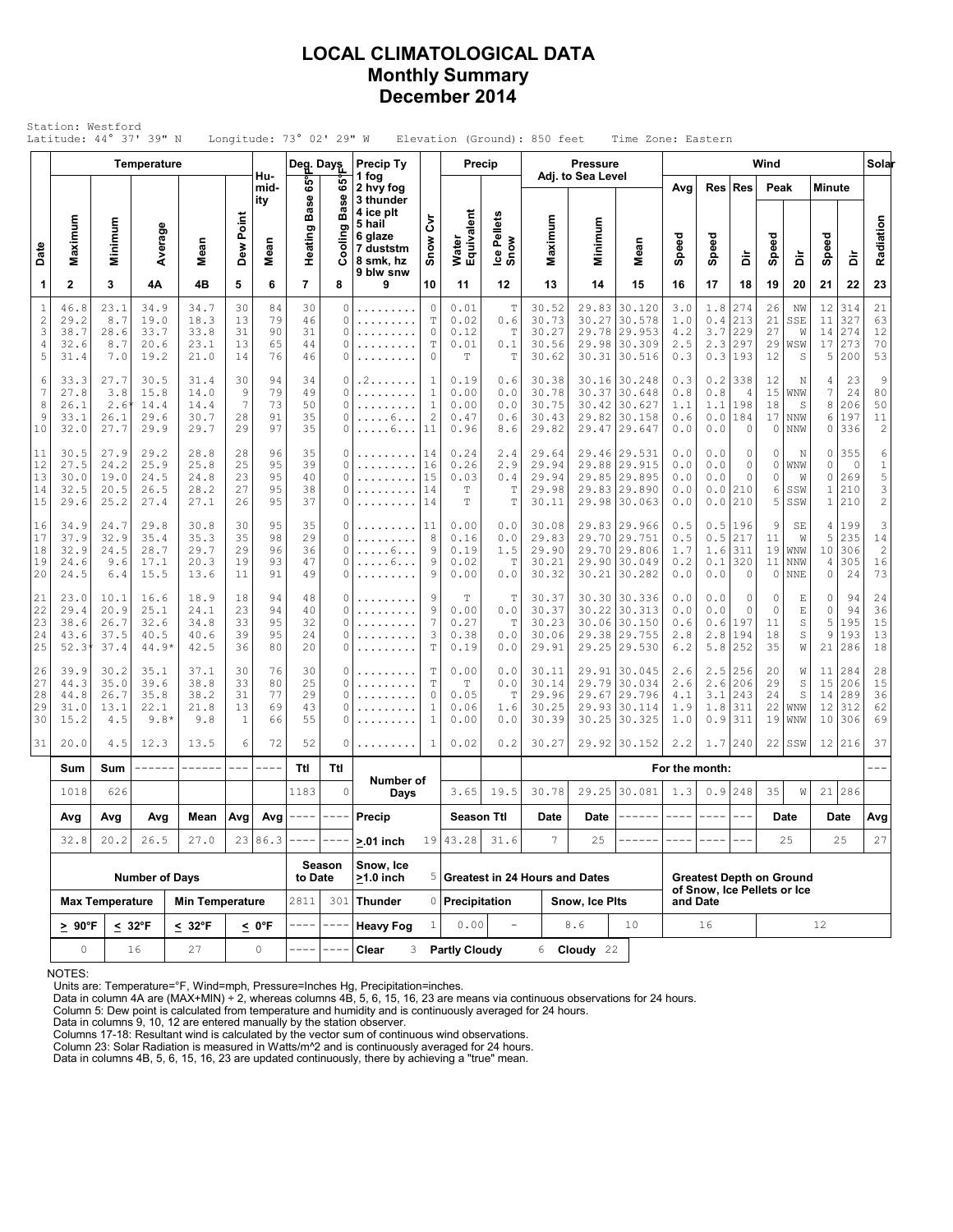### **LOCAL CLIMATOLOGICAL DATA Monthly Summary December 2014**

|                                           | Latitude: 44° 37' 39" N              | Station: Westford                            |                                        |                                      |                            |                                    | Longitude: 73° 02' 29" W   |                                                                                                                                                                                                                                                                                                                                                                                              |                                                                       |                                                               |                                             |                                                 | Elevation (Ground): 850 feet              |                           | Time Zone: Eastern                                                                                                                                                                                                                                                                                                                                                                                                                                                                         |                                 |                                                                |                                       |                                 |                                            |                                             |                                     |                                           |
|-------------------------------------------|--------------------------------------|----------------------------------------------|----------------------------------------|--------------------------------------|----------------------------|------------------------------------|----------------------------|----------------------------------------------------------------------------------------------------------------------------------------------------------------------------------------------------------------------------------------------------------------------------------------------------------------------------------------------------------------------------------------------|-----------------------------------------------------------------------|---------------------------------------------------------------|---------------------------------------------|-------------------------------------------------|-------------------------------------------|---------------------------|--------------------------------------------------------------------------------------------------------------------------------------------------------------------------------------------------------------------------------------------------------------------------------------------------------------------------------------------------------------------------------------------------------------------------------------------------------------------------------------------|---------------------------------|----------------------------------------------------------------|---------------------------------------|---------------------------------|--------------------------------------------|---------------------------------------------|-------------------------------------|-------------------------------------------|
|                                           |                                      |                                              | <b>Temperature</b>                     |                                      |                            |                                    | Deg. Days                  |                                                                                                                                                                                                                                                                                                                                                                                              | Precip Ty                                                             |                                                               | Precip                                      |                                                 |                                           | <b>Pressure</b>           |                                                                                                                                                                                                                                                                                                                                                                                                                                                                                            |                                 |                                                                |                                       | Wind                            |                                            |                                             |                                     | Solar                                     |
|                                           |                                      |                                              |                                        |                                      |                            | Hu-<br>mid-<br>ity                 | ទី                         | မ္မ<br><b>Base</b>                                                                                                                                                                                                                                                                                                                                                                           | 1 fog<br>2 hvy fog<br>3 thunder                                       |                                                               |                                             |                                                 |                                           | Adj. to Sea Level         |                                                                                                                                                                                                                                                                                                                                                                                                                                                                                            | Avg                             | Res                                                            | <b>Res</b>                            | Peak                            |                                            | <b>Minute</b>                               |                                     |                                           |
| Date                                      | Maximum                              | Minimum                                      | Average                                | Mean                                 | Dew Point                  | Mean                               | Base<br>Heating            | Ō)<br>Ξ                                                                                                                                                                                                                                                                                                                                                                                      | 4 ice plt<br>5 hail<br>6 glaze<br>7 duststm<br>8 smk, hz<br>9 blw snw | ξ<br>Snow                                                     | Water<br>Equivalent                         | Ice Pellets<br>Snow                             | Maximum                                   | Minimum                   | Mean                                                                                                                                                                                                                                                                                                                                                                                                                                                                                       | Speed                           | Speed                                                          | à                                     | Speed                           | à                                          | Speed                                       | à                                   | Radiation                                 |
| 1                                         | $\mathbf{2}$                         | 3                                            | 4A                                     | 4B                                   | 5                          | 6                                  | $\overline{7}$             | 8                                                                                                                                                                                                                                                                                                                                                                                            | 9                                                                     | 10                                                            | 11                                          | 12                                              | 13                                        | 14                        | 15                                                                                                                                                                                                                                                                                                                                                                                                                                                                                         | 16                              | 17                                                             | 18                                    | 19                              | 20                                         | 21                                          | 22                                  | 23                                        |
| $\mathbf{1}$<br>$\sqrt{2}$<br>3<br>4<br>5 | 46.8<br>29.2<br>38.7<br>32.6<br>31.4 | 23.1<br>8.7<br>28.6<br>8.7<br>7.0            | 34.9<br>19.0<br>33.7<br>20.6<br>19.2   | 34.7<br>18.3<br>33.8<br>23.1<br>21.0 | 30<br>13<br>31<br>13<br>14 | 84<br>79<br>90<br>65<br>76         | 30<br>46<br>31<br>44<br>46 | 0<br>0<br>0<br>0<br>0                                                                                                                                                                                                                                                                                                                                                                        | .<br>.<br>.                                                           | $\circ$<br>$\mathbb T$<br>0<br>$\mathbb T$<br>0               | 0.01<br>0.02<br>0.12<br>0.01<br>T           | T<br>0.6<br>T<br>0.1<br>T                       | 30.52<br>30.73<br>30.27<br>30.56<br>30.62 | 30.27<br>30.31            | 29.83 30.120<br>30.578<br>29.78 29.953<br>29.98 30.309<br>30.516                                                                                                                                                                                                                                                                                                                                                                                                                           | 3.0<br>1.0<br>4.2<br>2.5<br>0.3 | 1.8<br>0.4<br>3.7<br>2.3<br>0.3                                | 274<br>213<br>229<br>297<br>193       | 26<br>21<br>27<br>29<br>12      | NW<br>SSE<br>W<br>WSW<br>S                 | 12<br>11<br>14<br>17<br>5                   | 314<br>327<br>274<br>273<br>200     | 21<br>63<br>12<br>70<br>53                |
| 6<br>$\overline{7}$<br>8<br>9<br>10       | 33.3<br>27.8<br>26.1<br>33.1<br>32.0 | 27.7<br>3.8<br>$2.6^{\circ}$<br>26.1<br>27.7 | 30.5<br>15.8<br>14.4<br>29.6<br>29.9   | 31.4<br>14.0<br>14.4<br>30.7<br>29.7 | 30<br>9<br>7<br>28<br>29   | 94<br>79<br>73<br>91<br>97         | 34<br>49<br>50<br>35<br>35 | 0<br>0<br>0<br>0<br>0                                                                                                                                                                                                                                                                                                                                                                        | . 2.<br>.<br>.<br>. 6<br>. 6                                          | $\mathbf{1}$<br>$1\,$<br>$\mathbf{1}$<br>$\overline{c}$<br>11 | 0.19<br>0.00<br>0.00<br>0.47<br>0.96        | 0.6<br>0.0<br>0.0<br>0.6<br>8.6                 | 30.38<br>30.78<br>30.75<br>30.43<br>29.82 | 30.37<br>29.82<br>29.47   | 30.16 30.248<br>30.648<br>30.42 30.627<br>30.158<br>29.647                                                                                                                                                                                                                                                                                                                                                                                                                                 | 0.3<br>0.8<br>1.1<br>0.6<br>0.0 | 0.2<br>0.8<br>1.1<br>0.0<br>0.0                                | 338<br>4<br>198<br>184<br>$\circ$     | 12<br>15<br>18<br>17<br>$\circ$ | N<br>WNW<br>S<br>NNW<br>NNW                | 4<br>7<br>8<br>6<br>$\circ$                 | 23<br>24<br>206<br>197<br>336       | 9<br>80<br>50<br>11<br>$\mathbf{2}$       |
| 11<br>12<br>13<br>14<br>15                | 30.5<br>27.5<br>30.0<br>32.5<br>29.6 | 27.9<br>24.2<br>19.0<br>20.5<br>25.2         | 29.2<br>25.9<br>24.5<br>26.5<br>27.4   | 28.8<br>25.8<br>24.8<br>28.2<br>27.1 | 28<br>25<br>23<br>27<br>26 | 96<br>95<br>95<br>95<br>95         | 35<br>39<br>40<br>38<br>37 | 0<br>0<br>0<br>0<br>0                                                                                                                                                                                                                                                                                                                                                                        | .<br>.<br>.<br>.                                                      | 14<br>16<br>15<br>14<br>14                                    | 0.24<br>0.26<br>0.03<br>Т<br>T              | 2.4<br>2.9<br>0.4<br>$\mathbb T$<br>$\mathbf T$ | 29.64<br>29.94<br>29.94<br>29.98<br>30.11 |                           | 29.46 29.531<br>29.88 29.915<br>29.85 29.895<br>29.83 29.890<br>29.98 30.063                                                                                                                                                                                                                                                                                                                                                                                                               | 0.0<br>0.0<br>0.0<br>0.0<br>0.0 | 0.0<br>0.0<br>0.0<br>0.0<br>0.0                                | $\circ$<br>0<br>$\circ$<br>210<br>210 | 0<br>$\circ$<br>0<br>6<br>5     | N<br>WNW<br>W<br>SSW<br>SSW                | 0<br>0<br>0<br>$\mathbf{1}$<br>$\mathbf{1}$ | 355<br>$\circ$<br>269<br>210<br>210 | 6<br>$\frac{1}{5}$<br>3<br>$\overline{c}$ |
| 16<br>17<br>18<br>19<br>20                | 34.9<br>37.9<br>32.9<br>24.6<br>24.5 | 24.7<br>32.9<br>24.5<br>9.6<br>6.4           | 29.8<br>35.4<br>28.7<br>17.1<br>15.5   | 30.8<br>35.3<br>29.7<br>20.3<br>13.6 | 30<br>35<br>29<br>19<br>11 | 95<br>98<br>96<br>93<br>91         | 35<br>29<br>36<br>47<br>49 | 0<br>0<br>0<br>0<br>0                                                                                                                                                                                                                                                                                                                                                                        | .<br>.<br>. 6<br>. 6<br>.                                             | 11<br>8<br>9<br>9<br>9                                        | 0.00<br>0.16<br>0.19<br>0.02<br>0.00        | 0.0<br>0.0<br>1.5<br>T<br>0.0                   | 30.08<br>29.83<br>29.90<br>30.21<br>30.32 |                           | 29.83 29.966<br>29.70 29.751<br>29.70 29.806<br>29.90 30.049<br>30.21 30.282                                                                                                                                                                                                                                                                                                                                                                                                               | 0.5<br>0.5<br>1.7<br>0.2<br>0.0 | 0.5<br>0.5<br>1.6<br>0.1<br>0.0                                | 196<br>217<br>311<br>320<br>$\circ$   | 9<br>11<br>19<br>11<br>$\circ$  | SE<br>W<br>WNW<br><b>NNW</b><br><b>NNE</b> | 4<br>5<br>10 <sup>1</sup><br>4<br>$\circ$   | 199<br>235<br>306<br>305<br>24      | 3<br>14<br>$\overline{c}$<br>16<br>73     |
| 21<br>22<br>23<br>24<br>25                | 23.0<br>29.4<br>38.6<br>43.6<br>52.3 | 10.1<br>20.9<br>26.7<br>37.5<br>37.4         | 16.6<br>25.1<br>32.6<br>40.5<br>44.9*  | 18.9<br>24.1<br>34.8<br>40.6<br>42.5 | 18<br>23<br>33<br>39<br>36 | 94<br>94<br>95<br>95<br>80         | 48<br>40<br>32<br>24<br>20 | 0<br>0<br>0<br>0<br>0                                                                                                                                                                                                                                                                                                                                                                        | .<br>.<br>.                                                           | 9<br>9<br>$\overline{7}$<br>3<br>T                            | Т<br>0.00<br>0.27<br>0.38<br>0.19           | Т<br>0.0<br>T<br>0.0<br>0.0                     | 30.37<br>30.37<br>30.23<br>30.06<br>29.91 | 30.22                     | 30.30 30.336<br> 30.313<br>30.06 30.150<br>29.38 29.755<br>29.25 29.530                                                                                                                                                                                                                                                                                                                                                                                                                    | 0.0<br>0.0<br>0.6<br>2.8<br>6.2 | 0.0<br>0.0<br>0.6<br>2.8<br>5.8                                | 0<br>0<br>197<br>194<br>252           | 0<br>$\circ$<br>11<br>18<br>35  | Ε<br>Ε<br>S<br>$\rm S$<br>W                | 0<br>$\mathbb O$<br>5<br>9<br>21            | 94<br>94<br>195<br>193<br>286       | 24<br>36<br>15<br>13<br>18                |
| 26<br>27<br>28<br>29<br>30                | 39.9<br>44.3<br>44.8<br>31.0<br>15.2 | 30.2<br>35.0<br>26.7<br>13.1<br>4.5          | 35.1<br>39.6<br>35.8<br>22.1<br>$9.8*$ | 37.1<br>38.8<br>38.2<br>21.8<br>9.8  | 30<br>33<br>31<br>13<br>-1 | 76<br>80<br>77<br>69<br>66         | 30<br>25<br>29<br>43<br>55 | 0<br>0<br>0<br>0<br>0                                                                                                                                                                                                                                                                                                                                                                        | .                                                                     | T<br>$\mathbf T$<br>0<br>$1\,$<br>$\mathbf{1}$                | 0.00<br>$\mathbb T$<br>0.05<br>0.06<br>0.00 | 0.0<br>0.0<br>$\mathbb T$<br>1.6<br>0.0         | 30.11<br>30.14<br>29.96<br>30.25<br>30.39 | 29.79<br>29.67<br>30.25   | 29.91 30.045<br>30.034<br>29.796<br>29.93 30.114<br>30.325                                                                                                                                                                                                                                                                                                                                                                                                                                 | 2.6<br>2.6<br>4.1<br>1.9<br>1.0 | 2.5<br>2.6<br>3.1<br>1.8<br>0.9                                | 256<br>206<br>243<br>311<br>311       | 20<br>29<br>24<br>22<br>19      | W<br>$\rm S$<br>S<br>WNW<br>WNW            | 11<br>15<br>14<br>12<br>10                  | 284<br>206<br>289<br>312<br>306     | 28<br>15<br>36<br>62<br>69                |
| 31                                        | 20.0                                 | 4.5                                          | 12.3                                   | 13.5                                 | 6                          | 72                                 | 52                         | 0                                                                                                                                                                                                                                                                                                                                                                                            | .                                                                     | $\mathbf{1}$                                                  | 0.02                                        | 0.2                                             | 30.27                                     |                           | 29.92 30.152                                                                                                                                                                                                                                                                                                                                                                                                                                                                               | 2.2                             | 1.7                                                            | 240                                   | 22                              | SSW                                        |                                             | 12 216                              | 37                                        |
|                                           | Sum                                  | Sum                                          | ------                                 | ------                               | $--\,$ $-$                 | ----                               | Ttl                        | Ttl                                                                                                                                                                                                                                                                                                                                                                                          | Number of                                                             |                                                               |                                             |                                                 |                                           |                           |                                                                                                                                                                                                                                                                                                                                                                                                                                                                                            | For the month:                  |                                                                |                                       |                                 |                                            |                                             |                                     |                                           |
|                                           | 1018                                 | 626                                          |                                        |                                      |                            |                                    | 1183                       | 0                                                                                                                                                                                                                                                                                                                                                                                            | Days                                                                  |                                                               | 3.65                                        | 19.5                                            | 30.78                                     |                           | 29.25 30.081                                                                                                                                                                                                                                                                                                                                                                                                                                                                               | 1.3                             | 0.9                                                            | 248                                   | 35                              | W                                          |                                             | 21 286                              |                                           |
|                                           | Avg<br>Avg<br>Avg                    |                                              |                                        | Mean                                 |                            | $Avg \mid Avg \mid ---$<br>23 86.3 |                            | $\frac{1}{2} \frac{1}{2} \frac{1}{2} \frac{1}{2} \frac{1}{2} \frac{1}{2} \frac{1}{2} \frac{1}{2} \frac{1}{2} \frac{1}{2} \frac{1}{2} \frac{1}{2} \frac{1}{2} \frac{1}{2} \frac{1}{2} \frac{1}{2} \frac{1}{2} \frac{1}{2} \frac{1}{2} \frac{1}{2} \frac{1}{2} \frac{1}{2} \frac{1}{2} \frac{1}{2} \frac{1}{2} \frac{1}{2} \frac{1}{2} \frac{1}{2} \frac{1}{2} \frac{1}{2} \frac{1}{2} \frac{$ | Precip                                                                |                                                               | <b>Season Ttl</b>                           |                                                 | Date<br>7                                 | Date                      | $\begin{tabular}{ccccc} \multicolumn{2}{c} {\textbf{1}} & \multicolumn{2}{c} {\textbf{2}} & \multicolumn{2}{c} {\textbf{3}} & \multicolumn{2}{c} {\textbf{4}} & \multicolumn{2}{c} {\textbf{5}} & \multicolumn{2}{c} {\textbf{6}} & \multicolumn{2}{c} {\textbf{7}} & \multicolumn{2}{c} {\textbf{8}} & \multicolumn{2}{c} {\textbf{9}} & \multicolumn{2}{c} {\textbf{1}} & \multicolumn{2}{c} {\textbf{1}} & \multicolumn{2}{c} {\textbf{1}} & \multicolumn{2}{c} {\textbf{1}} & \multic$ | $\qquad \qquad - - -$           | $\qquad \qquad - \qquad -$                                     | $\frac{1}{2}$                         | Date                            |                                            |                                             | Date                                | Avg                                       |
|                                           | 32.8                                 | 20.2                                         | 26.5                                   | 27.0                                 |                            |                                    |                            | Season                                                                                                                                                                                                                                                                                                                                                                                       | $> 01$ inch<br>Snow, Ice                                              |                                                               | 19 43.28                                    | 31.6                                            |                                           | 25                        |                                                                                                                                                                                                                                                                                                                                                                                                                                                                                            |                                 |                                                                |                                       |                                 | 25                                         |                                             | 25                                  | 27                                        |
|                                           |                                      |                                              | <b>Number of Days</b>                  |                                      |                            |                                    | to Date                    |                                                                                                                                                                                                                                                                                                                                                                                              | $>1.0$ inch                                                           |                                                               |                                             |                                                 | 5 Greatest in 24 Hours and Dates          |                           |                                                                                                                                                                                                                                                                                                                                                                                                                                                                                            |                                 | <b>Greatest Depth on Ground</b><br>of Snow, Ice Pellets or Ice |                                       |                                 |                                            |                                             |                                     |                                           |
|                                           |                                      | <b>Max Temperature</b>                       |                                        | <b>Min Temperature</b>               |                            |                                    | 2811                       | 301                                                                                                                                                                                                                                                                                                                                                                                          | <b>Thunder</b>                                                        |                                                               | 0 Precipitation<br>0.00                     | ÷,                                              |                                           | Snow, Ice Pits            |                                                                                                                                                                                                                                                                                                                                                                                                                                                                                            |                                 | and Date                                                       |                                       |                                 |                                            |                                             |                                     |                                           |
|                                           | $\geq 90^{\circ}$ F<br>0             |                                              | $\leq 32^{\circ}F$<br>16               | $\leq 32^{\circ}$ F<br>27            | <u>&lt;</u> 0°F<br>0       |                                    |                            |                                                                                                                                                                                                                                                                                                                                                                                              | <b>Heavy Fog</b><br>Clear<br>3                                        |                                                               | <b>Partly Cloudy</b>                        |                                                 |                                           | 8.6<br>6 <b>Cloudy</b> 22 | 10                                                                                                                                                                                                                                                                                                                                                                                                                                                                                         |                                 | 16                                                             |                                       |                                 |                                            | 12                                          |                                     |                                           |

NOTES:

Units are: Temperature=°F, Wind=mph, Pressure=Inches Hg, Precipitation=inches. Data in column 4A are (MAX+MIN) ÷ 2, whereas columns 4B, 5, 6, 15, 16, 23 are means via continuous observations for 24 hours.

Column 5: Dew point is calculated from temperature and humidity and is continuously averaged for 24 hours.

Data in columns 9, 10, 12 are entered manually by the station observer. Columns 17-18: Resultant wind is calculated by the vector sum of continuous wind observations.

Column 23: Solar Radiation is measured in Watts/m^2 and is continuously averaged for 24 hours.

Data in columns 4B, 5, 6, 15, 16, 23 are updated continuously, there by achieving a "true" mean.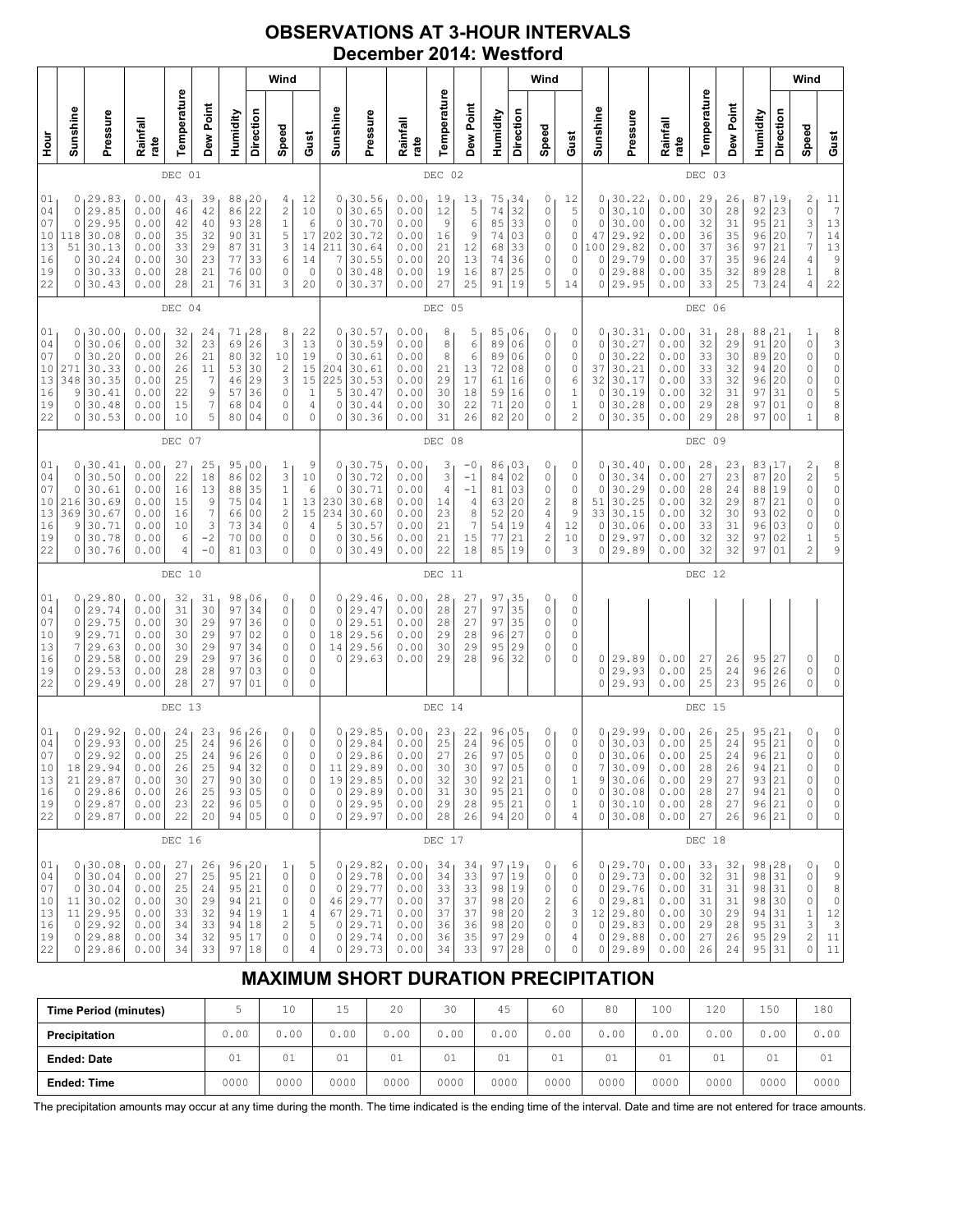### **OBSERVATIONS AT 3-HOUR INTERVALS December 2014: Westford**

|                                              |                                          |                                                                                            |                                                              |                                              |                                               |                                                              |                                                                | Wind                                              |                                                                          |                                                                    |                                                                                   |                                                              |                                                  |                                                              |                                                                                    |                                               | Wind                                                       |                                                 |                                         |                                                                                          |                                                              |                                                  |                                                  |                                                                  |                                                            | Wind                                                                                                                                                               |                                                                                 |
|----------------------------------------------|------------------------------------------|--------------------------------------------------------------------------------------------|--------------------------------------------------------------|----------------------------------------------|-----------------------------------------------|--------------------------------------------------------------|----------------------------------------------------------------|---------------------------------------------------|--------------------------------------------------------------------------|--------------------------------------------------------------------|-----------------------------------------------------------------------------------|--------------------------------------------------------------|--------------------------------------------------|--------------------------------------------------------------|------------------------------------------------------------------------------------|-----------------------------------------------|------------------------------------------------------------|-------------------------------------------------|-----------------------------------------|------------------------------------------------------------------------------------------|--------------------------------------------------------------|--------------------------------------------------|--------------------------------------------------|------------------------------------------------------------------|------------------------------------------------------------|--------------------------------------------------------------------------------------------------------------------------------------------------------------------|---------------------------------------------------------------------------------|
| Hour                                         | Sunshine                                 | Pressure                                                                                   | Rainfall<br>rate                                             | Temperature                                  | Dew Point                                     | Humidity                                                     | Direction                                                      | Speed                                             | Gust                                                                     | Sunshine                                                           | Pressure                                                                          | Rainfall<br>rate                                             | Temperature                                      | Dew Point                                                    | Humidity                                                                           | Direction                                     | Speed                                                      | Gust                                            | Sunshine                                | Pressure                                                                                 | Rainfall<br>rate                                             | Temperature                                      | Dew Point                                        | Humidity                                                         | Direction                                                  | Speed                                                                                                                                                              | Gust                                                                            |
|                                              |                                          |                                                                                            |                                                              | DEC 01                                       |                                               |                                                              |                                                                |                                                   |                                                                          |                                                                    |                                                                                   |                                                              | DEC 02                                           |                                                              |                                                                                    |                                               |                                                            |                                                 |                                         |                                                                                          |                                                              | DEC 03                                           |                                                  |                                                                  |                                                            |                                                                                                                                                                    |                                                                                 |
| 01<br>04<br>07<br>10<br>13<br>16<br>19<br>22 | 0<br>0<br>0<br>118<br>51<br>0<br>0<br>0  | 129.83<br>29.85<br>29.95<br>30.08<br>30.13<br>30.24<br>30.33<br>30.43                      | 0.00<br>0.00<br>0.00<br>0.00<br>0.00<br>0.00<br>0.00<br>0.00 | 43<br>46<br>42<br>35<br>33<br>30<br>28<br>28 | 39<br>42<br>40<br>32<br>29<br>23<br>21<br>21  | 88<br>86<br>93<br>90<br>87<br>77<br>76<br>76                 | 20<br>22<br>28<br>31<br>31<br>33<br>00<br>31                   | $\frac{4}{2}$<br>$\,1\,$<br>5<br>3<br>6<br>0<br>3 | 12<br>10<br>6<br>17<br>14<br>14<br>$\circ$<br>20                         | 0<br>$\circ$<br>$\circ$<br>202<br>211<br>7<br>$\mathbf 0$<br>0     | 30.56<br>30.65<br>30.70<br>30.72<br>30.64<br>30.55<br>30.48<br>30.37              | 0.00<br>0.00<br>0.00<br>0.00<br>0.00<br>0.00<br>0.00<br>0.00 | 19<br>12<br>9<br>16<br>21<br>20<br>19<br>27      | 13<br>5<br>$\epsilon$<br>9<br>12<br>13<br>16<br>25           | 75<br>74<br>85<br>74<br>68<br>74<br>87<br>91                                       | 34<br>32<br>33<br>03<br>33<br>36<br>25<br>19  | 0<br>0<br>0<br>0<br>0<br>0<br>0<br>5                       | 12<br>5<br>0<br>0<br>0<br>0<br>0<br>14          | 0<br>0<br>0<br>47<br>100<br>0<br>0<br>0 | 30.22<br>30.10<br>30.00<br>29.92<br>29.82<br>29.79<br>29.88<br>29.95                     | 0.00<br>0.00<br>0.00<br>0.00<br>0.00<br>0.00<br>0.00<br>0.00 | 29<br>30<br>32<br>36<br>37<br>37<br>35<br>33     | 26<br>28<br>31<br>35<br>36<br>35<br>32<br>25     | 87<br>92<br>95<br>96<br>97<br>96<br>89<br>73                     | 19<br>23<br>21<br>20<br>21<br>24<br>28<br>24               | 2<br>$\circ$<br>3<br>7<br>$\boldsymbol{7}$<br>$\sqrt{4}$<br>$\mathbf 1$<br>4                                                                                       | $\begin{array}{c} 11 \\ 7 \end{array}$<br>13<br>14<br>13<br>$\frac{9}{8}$<br>22 |
|                                              |                                          |                                                                                            |                                                              | DEC 04                                       |                                               |                                                              |                                                                |                                                   |                                                                          |                                                                    |                                                                                   | DEC 05                                                       |                                                  |                                                              |                                                                                    |                                               |                                                            |                                                 |                                         |                                                                                          |                                                              | DEC 06                                           |                                                  |                                                                  |                                                            |                                                                                                                                                                    |                                                                                 |
| 01<br>04<br>07<br>10<br>13<br>16<br>19<br>22 | 0<br>0<br>0<br>271<br>348<br>9<br>0<br>0 | 130.00<br>30.06<br>30.20<br>30.33<br>30.35<br>30.41<br>30.48<br>30.53                      | 0.00<br>0.00<br>0.00<br>0.00<br>0.00<br>0.00<br>0.00<br>0.00 | 32<br>32<br>26<br>26<br>25<br>22<br>15<br>10 | 24<br>23<br>21<br>11<br>7<br>9<br>7<br>5      | 71<br>69<br>80<br>53<br>46<br>57<br>68<br>80                 | 28<br>26<br>32<br>30<br>29<br>36<br>04<br>04                   | 8<br>3<br>10<br>$\mathbf{2}$<br>3<br>0<br>0<br>0  | 22<br>13<br>19<br>15<br>15<br>$\,1\,$<br>4<br>$\mathbf 0$                | 0<br>$\circ$<br>$\circ$<br>204<br>225<br>5<br>$\circ$<br>0         | 130.57<br>30.59<br>30.61<br>30.61<br>30.53<br>30.47<br>30.44<br>30.36             | 0.00<br>0.00<br>0.00<br>0.00<br>0.00<br>0.00<br>0.00<br>0.00 | 8<br>8<br>8<br>21<br>29<br>30<br>30<br>31        | 5<br>$\epsilon$<br>6<br>13<br>17<br>18<br>22<br>26           | 85<br>89<br>89<br>72<br>61<br>59<br>71<br>82                                       | ,06<br>06<br>06<br>08<br>16<br>16<br>20<br>20 | 0<br>0<br>0<br>0<br>0<br>0<br>0<br>0                       | 0<br>0<br>0<br>0<br>6<br>1<br>$\mathbf 1$<br>2  | 0<br>0<br>0<br>37<br>32<br>0<br>0<br>0  | 30.31<br>30.27<br>30.22<br>30.21<br>30.17<br>30.19<br>30.28<br>30.35                     | 0.00<br>0.00<br>0.00<br>0.00<br>0.00<br>0.00<br>0.00<br>0.00 | 31<br>32<br>33<br>33<br>33<br>32<br>29<br>29     | 28<br>29<br>30<br>32<br>32<br>31<br>28<br>28     | 88<br>91<br>89<br>94<br>96<br>97<br>97<br>97                     | 21  <br>20<br>20<br>20<br>20<br>31<br>01<br>0 <sup>0</sup> | 1<br>0<br>0<br>0<br>0<br>$\Omega$<br>0<br>$\mathbf 1$                                                                                                              | 8300058<br>8                                                                    |
|                                              | DEC 07                                   |                                                                                            |                                                              |                                              |                                               |                                                              |                                                                |                                                   |                                                                          |                                                                    | DEC 08                                                                            |                                                              |                                                  |                                                              |                                                                                    |                                               |                                                            |                                                 |                                         | DEC 09                                                                                   |                                                              |                                                  |                                                  |                                                                  |                                                            |                                                                                                                                                                    |                                                                                 |
| 01<br>04<br>07<br>10<br>13<br>16<br>19<br>22 | 0<br>0<br>216<br>369<br>9<br>0<br>0      | 0, 30.41<br>30.50<br>30.61<br>30.69<br>30.67<br>30.71<br>30.78<br>30.76                    | 0.00<br>0.00<br>0.00<br>0.00<br>0.00<br>0.00<br>0.00<br>0.00 | 27<br>22<br>16<br>15<br>16<br>10<br>6<br>4   | 25<br>18<br>13<br>9<br>7<br>3<br>$-2$<br>$-0$ | 95,00<br>86<br>88<br>75<br>66<br>73<br>70<br>81              | 02<br>35<br>04<br>0 <sub>0</sub><br>34<br>0 <sub>0</sub><br>03 | 1<br>3<br>$\,1\,$<br>$1\,$<br>2<br>0<br>0<br>0    | 9<br>10<br>6<br>13<br>15<br>4<br>0<br>0                                  | $\circ$<br>$\circ$<br>230<br>234<br>5<br>$\circ$<br>0              | 0, 30.75<br>30.72<br>30.71<br>30.68<br>30.60<br>30.57<br>30.56<br>30.49           | 0.00<br>0.00<br>0.00<br>0.00<br>0.00<br>0.00<br>0.00<br>0.00 | 3<br>3<br>4<br>14<br>23<br>21<br>21<br>22        | -0<br>$-1$<br>$-1$<br>4<br>8<br>$\boldsymbol{7}$<br>15<br>18 | 86,03<br>84<br>81<br>63<br>52<br>54<br>77<br>85                                    | 02<br>03<br>20<br>20<br>19<br>21<br>19        | 0<br>0<br>0<br>2<br>4<br>4<br>$\overline{\mathbf{c}}$<br>0 | 0<br>0<br>0<br>8<br>9<br>12<br>10<br>3          | 0<br>0<br>0<br>51<br>33<br>0<br>0<br>0  | 30.40<br>30.34<br>30.29<br>30.25<br>30.15<br>30.06<br>29.97<br>29.89                     | 0.00<br>0.00<br>0.00<br>0.00<br>0.00<br>0.00<br>0.00<br>0.00 | 28<br>27<br>28<br>32<br>32<br>33<br>32<br>32     | 23<br>23<br>24<br>29<br>30<br>31<br>32<br>32     | 83,17<br>87<br>88<br>87<br>93<br>96<br>97<br>97                  | 20<br>19<br>21<br>02<br>03<br>02<br>01                     | 2<br>$\mathfrak{2}% _{T}=\mathfrak{2}_{T}\!\left( a,b\right) ,\ \mathfrak{2}_{T}=\mathfrak{2}_{T}\!\left( a,b\right) ,$<br>0<br>0<br>0<br>0<br>1<br>$\overline{c}$ | 8<br>5<br>0<br>0<br>$\begin{matrix} 0 \\ 0 \end{matrix}$<br>5<br>9              |
|                                              |                                          |                                                                                            |                                                              | DEC 10                                       |                                               |                                                              |                                                                |                                                   |                                                                          |                                                                    |                                                                                   |                                                              | DEC 11                                           |                                                              |                                                                                    |                                               |                                                            |                                                 |                                         |                                                                                          |                                                              | DEC 12                                           |                                                  |                                                                  |                                                            |                                                                                                                                                                    |                                                                                 |
| 01<br>04<br>07<br>10<br>13<br>16<br>19<br>22 | 0<br>0<br>9<br>7<br>0<br>0<br>0          | 0, 29.80<br>29.74<br>29.75<br>29.71<br>29.63<br>29.58<br>29.53<br>29.49                    | 0.00<br>0.00<br>0.00<br>0.00<br>0.00<br>0.00<br>0.00<br>0.00 | 32<br>31<br>30<br>30<br>30<br>29<br>28<br>28 | 31<br>30<br>29<br>29<br>29<br>29<br>28<br>27  | 98<br>97<br>97<br>97<br>97<br>97<br>97<br>97                 | 106<br>34<br>36<br>02<br>34<br>36<br>03<br>01                  | 0<br>$\mathbb O$<br>0<br>0<br>0<br>0<br>0<br>0    | 0<br>$\mathbb O$<br>$\mathbb O$<br>$\circ$<br>$\mathbb O$<br>0<br>0<br>0 | $\circ$<br>$\circ$<br>18<br>14<br>0                                | 0, 29.46<br>29.47<br>29.51<br>29.56<br>29.56<br>29.63                             | 0.00<br>0.00<br>0.00<br>0.00<br>0.00<br>0.00                 | 28<br>28<br>28<br>29<br>30<br>29                 | 27<br>27<br>27<br>28<br>29<br>28                             | 97,35<br>97<br>97<br>96<br>95<br>96                                                | 35<br>35<br>27<br>29<br>32                    | 0<br>0<br>0<br>0<br>0<br>0                                 | 0<br>0<br>0<br>0<br>0<br>0                      | 0<br>0<br>0                             | 29.89<br>29.93<br>29.93                                                                  | 0.00<br>0.00<br>0.00                                         | 27<br>25<br>25                                   | 26<br>24<br>23                                   | 95<br>96<br>95                                                   | 27<br>26<br>26                                             | 0<br>0<br>0                                                                                                                                                        | 0<br>$\circ$<br>$\circ$                                                         |
|                                              |                                          |                                                                                            |                                                              | DEC 13                                       |                                               |                                                              |                                                                |                                                   |                                                                          |                                                                    |                                                                                   |                                                              | DEC 14                                           |                                                              |                                                                                    |                                               |                                                            |                                                 |                                         |                                                                                          |                                                              | DEC 15                                           |                                                  |                                                                  |                                                            |                                                                                                                                                                    |                                                                                 |
| 01<br>04<br>07<br>10<br>13<br>16<br>19<br>22 | 0<br>0                                   | 0, 29.92<br>29.93<br>29.92<br>18 29.94<br>$21 \mid 29.87$<br>0 29.86<br>0 29.87<br>0 29.87 | 0.00<br>0.00<br>0.00<br>0.00<br>0.00<br>0.00<br>0.00<br>0.00 | 24<br>25<br>25<br>26<br>30<br>26<br>23<br>22 | 23<br>24<br>24<br>25<br>27<br>25<br>22<br>20  | 96, 26<br>96<br>96<br>94<br>90<br>93 05                      | 26<br>$26$<br>32<br>30<br>96 05<br>94 05                       | 0<br>0<br>$\mathbf 0$<br>0<br>0<br>0<br>0<br>0    | 0<br>$\mathbb O$<br>$\mathbf 0$<br>0<br>0<br>$\mathbb O$<br>$\circ$<br>0 | 0<br>$\mathbb O$<br>$\circ$<br>11<br>19<br>$\circ$<br>$\circ$<br>0 | 129.85<br>29.84<br>29.86<br>29.89<br>29.85<br> 29.89<br>29.95<br>29.97            | 0.00<br>0.00<br>0.00<br>0.00<br>0.00<br>0.00<br>0.00<br>0.00 | 23<br>25<br>$2\,7$<br>30<br>32<br>31<br>29<br>28 | 22<br>24<br>26<br>30<br>30<br>30<br>28<br>26                 | 96,05<br>96<br>97<br>97<br>92<br>95 21<br>95 <br>94   20                           | 05<br>05<br>05<br> 21<br> 21                  | 0<br>0<br>0<br>0<br>0<br>0<br>0<br>0                       | 0<br>0<br>0<br>0<br>1<br>0<br>$\mathbf{1}$<br>4 | 0<br>0<br>0<br>9<br>$\circ$             | 29.99<br>30.03<br>30.06<br>30.09<br>30.06<br>0 30.08<br>0 30.10<br>30.08                 | 0.00<br>0.00<br>0.00<br>0.00<br>0.00<br>0.00<br>0.00<br>0.00 | 26<br>25<br>$2\,5$<br>28<br>29<br>28<br>28<br>27 | 25<br>24<br>$2\,4$<br>26<br>27<br>27<br>27<br>26 | 95,21<br>95<br>96<br>94 21<br>93 21<br>94   21<br>96 21<br>96 21 | 21<br>21                                                   | 0<br>0<br>$\Omega$<br>0<br>0<br>0<br>0<br>0                                                                                                                        | 0<br>0<br>0<br>0<br>$\mathbb O$<br>$\mathbb O$<br>$\mathbb O$<br>0              |
|                                              | DEC 16                                   |                                                                                            |                                                              |                                              |                                               |                                                              |                                                                |                                                   |                                                                          |                                                                    | DEC 17                                                                            |                                                              |                                                  |                                                              |                                                                                    |                                               |                                                            |                                                 |                                         | DEC 18                                                                                   |                                                              |                                                  |                                                  |                                                                  |                                                            |                                                                                                                                                                    |                                                                                 |
| 01<br>04<br>07<br>10<br>13<br>16<br>19<br>22 | 0<br>0                                   | 0, 30.08<br>30.04<br>30.04<br>11 30.02<br>11 29.95<br>0 29.92<br>0 29.88<br>0 29.86        | 0.00<br>0.00<br>0.00<br>0.00<br>0.00<br>0.00<br>0.00<br>0.00 | 27<br>27<br>25<br>30<br>33<br>34<br>34<br>34 | 26<br>25<br>24<br>29<br>32<br>33<br>32<br>33  | 96, 20<br>95 21<br>95<br>94<br>94 19<br>94<br>95 17<br>97 18 | 21<br>21<br>18                                                 | 1<br>0<br>0<br>0<br>$\mathbf 1$<br>2<br>0<br>0    | 5<br>$\mathbb O$<br>$\mathbb O$<br>$\circ$<br>4<br>5<br>$\mathbb O$<br>4 | $\circ$<br>0<br>0                                                  | 0, 29.82<br>29.78<br>0 29.77<br>46 29.77<br>67 29.71<br>29.71<br>29.74<br>0 29.73 | 0.00<br>0.00<br>0.00<br>0.00<br>0.00<br>0.00<br>0.00<br>0.00 | 34<br>34<br>33<br>37<br>37<br>36<br>36<br>34     | 34<br>33<br>33<br>37<br>37<br>36<br>35<br>33                 | $\frac{97}{97}$ $\Big  \frac{19}{19}$<br>98 19<br>98<br>98 20<br>98 20<br>97<br>97 | 20<br>29<br>28                                | 0<br>0<br>0<br>2<br>2<br>0<br>0<br>0                       | 6<br>0<br>0<br>6<br>3<br>0<br>4<br>0            |                                         | 0, 29.70<br>0 29.73<br>$0$ 29.76<br>0 29.81<br>12 29.80<br>0 29.83<br>0 29.88<br>0 29.89 | 0.00<br>0.00<br>0.00<br>0.00<br>0.00<br>0.00<br>0.00<br>0.00 | 33<br>32<br>31<br>31<br>30<br>29<br>27<br>26     | 32<br>31<br>31<br>31<br>29<br>28<br>26<br>24     | 98, 28<br>98<br>98<br>98 30<br>94 31<br>95 31<br>95 29<br>95 31  | $ 31$<br> 31                                               | 0<br>0<br>0<br>0<br>$1\,$<br>3<br>$\overline{\mathbf{c}}$<br>0                                                                                                     | 0<br>9<br>8<br>$\mathbb O$<br>12<br>$\ensuremath{\mathsf{3}}$<br>11<br>11       |

# **MAXIMUM SHORT DURATION PRECIPITATION**

| <b>Time Period (minutes)</b> |      | 10   | Б<br>⊥J | 20   | 30   | 45   | 60   | 80   | 100  | 120  | 150  | 180  |
|------------------------------|------|------|---------|------|------|------|------|------|------|------|------|------|
| Precipitation                | 0.00 | 0.00 | 0.00    | 0.00 | 0.00 | 0.00 | 0.00 | 0.00 | 0.00 | 0.00 | 0.00 | 0.00 |
| <b>Ended: Date</b>           | 01   | 01   | 01      | 01   | 01   | 01   | 01   | 01   | 01   | 01   | 01   | 01   |
| <b>Ended: Time</b>           | 0000 | 0000 | 0000    | 0000 | 0000 | 0000 | 0000 | 0000 | 0000 | 0000 | 0000 | 0000 |

The precipitation amounts may occur at any time during the month. The time indicated is the ending time of the interval. Date and time are not entered for trace amounts.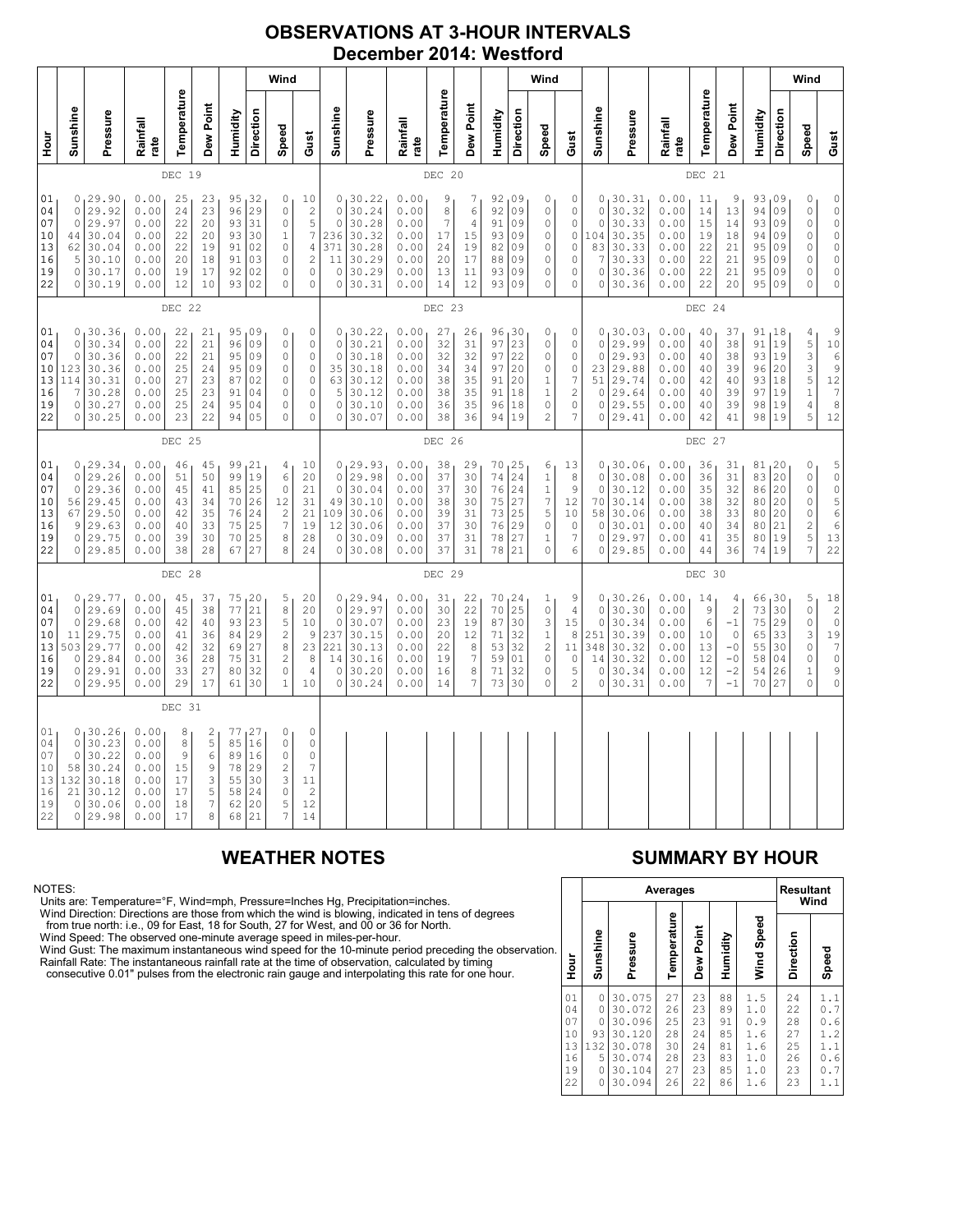### **OBSERVATIONS AT 3-HOUR INTERVALS December 2014: Westford**

|                                              |                                                           |                                                                               |                                                              |                                               |                                              |                                              | Wind                                                   |                                                                                                         |                                                                                 |                                                                          |                                                                            |                                                              |                                                 |                                                                 |                                              | Wind                                                                        |                                                                                                          |                                                           |                                                                     |                                                                         |                                                              |                                              |                                                                    |                                                      | Wind                                         |                                                                                          |                                                                                                                                                   |
|----------------------------------------------|-----------------------------------------------------------|-------------------------------------------------------------------------------|--------------------------------------------------------------|-----------------------------------------------|----------------------------------------------|----------------------------------------------|--------------------------------------------------------|---------------------------------------------------------------------------------------------------------|---------------------------------------------------------------------------------|--------------------------------------------------------------------------|----------------------------------------------------------------------------|--------------------------------------------------------------|-------------------------------------------------|-----------------------------------------------------------------|----------------------------------------------|-----------------------------------------------------------------------------|----------------------------------------------------------------------------------------------------------|-----------------------------------------------------------|---------------------------------------------------------------------|-------------------------------------------------------------------------|--------------------------------------------------------------|----------------------------------------------|--------------------------------------------------------------------|------------------------------------------------------|----------------------------------------------|------------------------------------------------------------------------------------------|---------------------------------------------------------------------------------------------------------------------------------------------------|
| nour<br>H                                    | Sunshine                                                  | Pressure                                                                      | Rainfall<br>rate                                             | Temperature                                   | Dew Point                                    | Humidity                                     | Direction                                              | Speed                                                                                                   | Gust                                                                            | Sunshine                                                                 | Pressure                                                                   | Rainfall<br>rate                                             | Temperature                                     | Dew Point                                                       | Humidity                                     | Direction                                                                   | Speed                                                                                                    | Gust                                                      | Sunshine                                                            | Pressure                                                                | Rainfall<br>rate                                             | Temperature                                  | Dew Point                                                          | Humidity                                             | <b>Direction</b>                             | Speed                                                                                    | Gust                                                                                                                                              |
|                                              |                                                           |                                                                               |                                                              | DEC 19                                        |                                              |                                              |                                                        |                                                                                                         |                                                                                 |                                                                          |                                                                            |                                                              | DEC 20                                          |                                                                 |                                              |                                                                             |                                                                                                          |                                                           |                                                                     |                                                                         |                                                              | DEC 21                                       |                                                                    |                                                      |                                              |                                                                                          |                                                                                                                                                   |
| 01<br>04<br>07<br>10<br>13<br>16<br>19<br>22 | 0<br>$\mathsf{O}\xspace$<br>44<br>62<br>5<br>0<br>$\circ$ | 0, 29.90<br>29.92<br>29.97<br>30.04<br>30.04<br>30.10<br>30.17<br>30.19       | 0.00<br>0.00<br>0.00<br>0.00<br>0.00<br>0.00<br>0.00<br>0.00 | 25<br>24<br>22<br>22<br>22<br>20<br>19<br>12  | 23<br>23<br>20<br>20<br>19<br>18<br>17<br>10 | 93<br>93<br>91<br>91<br>92<br>93             | $95 - 32$<br>96 29<br>31<br>30<br>02<br>03<br>02<br>02 | 0<br>$\circ$<br>$\circ$<br>$\mathbf 1$<br>$\circ$<br>$\circ$<br>0<br>$\mathbf 0$                        | 10<br>$\frac{2}{5}$<br>$\overline{7}$<br>4<br>$\overline{\mathbf{c}}$<br>0<br>0 | $\mathbb O$<br>$\mathbb O$<br>236<br>371<br>11<br>$\mathbb O$<br>$\circ$ | 0, 30.22<br>30.24<br>30.28<br>30.32<br>30.28<br>30.29<br>30.29<br>30.31    | 0.00<br>0.00<br>0.00<br>0.00<br>0.00<br>0.00<br>0.00<br>0.00 | 9<br>8<br>7<br>$17\,$<br>24<br>20<br>$13$<br>14 | 7<br>$\epsilon$<br>$\overline{4}$<br>15<br>19<br>17<br>11<br>12 | 92<br>92<br>91<br>93<br>82<br>88<br>93<br>93 | 09<br>09<br>09<br>09<br>09<br>09<br>09<br>09                                | 0<br>$\mathbb O$<br>$\mathbb O$<br>$\mathbb O$<br>0<br>$\circ$<br>$\circ$<br>$\mathbf 0$                 | 0<br>0<br>0<br>0<br>0<br>0<br>0<br>0                      | $\mathbb O$<br>$\circ$<br>104<br>83<br>7<br>$\circ$<br>$\circ$      | 0, 30.31<br>30.32<br>30.33<br>30.35<br>30.33<br>30.33<br>30.36<br>30.36 | 0.00<br>0.00<br>0.00<br>0.00<br>0.00<br>0.00<br>0.00<br>0.00 | 11<br>14<br>15<br>19<br>22<br>22<br>22<br>22 | 9<br>13<br>14<br>18<br>21<br>21<br>21<br>20                        | 93,09<br>94<br>93<br>94<br>95<br>95<br>95<br>95      | 09<br>09<br>09<br>09<br>09<br>09<br>09       | 0<br>$\mathbb O$<br>$\mathbb O$<br>0<br>0<br>0<br>0<br>$\circ$                           | $\begin{matrix} 0 \\ 0 \\ 0 \end{matrix}$<br>$\circ$<br>$\mathsf{O}\xspace$<br>$\mathbb O$<br>$\mathbb O$<br>$\circ$                              |
|                                              |                                                           |                                                                               |                                                              | DEC 22                                        |                                              |                                              |                                                        |                                                                                                         |                                                                                 |                                                                          |                                                                            |                                                              | DEC 23                                          |                                                                 |                                              |                                                                             |                                                                                                          |                                                           |                                                                     |                                                                         |                                                              | DEC 24                                       |                                                                    |                                                      |                                              |                                                                                          |                                                                                                                                                   |
| 01<br>04<br>07<br>10<br>13<br>16<br>19<br>22 | 0<br>0<br>123<br>114<br>7<br>0<br>01                      | 0, 30.36<br>30.34<br>30.36<br>30.36<br>30.31<br>30.28<br>30.27<br>30.25       | 0.00<br>0.00<br>0.00<br>0.00<br>0.00<br>0.00<br>0.00<br>0.00 | 22<br>22<br>22<br>25<br>27<br>25<br>25<br>23  | 21<br>21<br>21<br>24<br>23<br>23<br>24<br>22 | 95<br>96<br>95<br>95<br>87<br>91<br>95<br>94 | 09<br>09<br>09<br>09<br>02<br>04<br>04<br>05           | 0<br>$\circ$<br>$\circ$<br>$\circ$<br>$\mathbb O$<br>0<br>$\circ$<br>$\mathbf 0$                        | 0<br>$\circ$<br>$\circ$<br>$\mathbb O$<br>$\circ$<br>$\circ$<br>0<br>$\Omega$   | $\circ$<br>$\mathbb O$<br>63<br>5<br>$\circ$<br>0                        | 0, 30.22<br>30.21<br>30.18<br>35 30.18<br>30.12<br>30.12<br>30.10<br>30.07 | 0.00<br>0.00<br>0.00<br>0.00<br>0.00<br>0.00<br>0.00<br>0.00 | 27<br>32<br>32<br>34<br>38<br>38<br>36<br>38    | 26<br>31<br>32<br>34<br>35<br>35<br>35<br>36                    | 96<br>97<br>97<br>97<br>91<br>91<br>96<br>94 | $\begin{array}{c} 30 \\ 23 \end{array}$<br>22<br>20<br>20<br>18<br>18<br>19 | 0<br>$\mathbb O$<br>$\circ$<br>$\mathbb O$<br>1<br>$1\,$<br>$\circ$<br>$\overline{c}$                    | 0<br>0<br>0<br>0<br>7<br>2<br>0<br>7                      | $\mathbb O$<br>$\circ$<br>23<br>51<br>$\circ$<br>$\circ$<br>$\circ$ | 0, 30.03<br>29.99<br>29.93<br>29.88<br>29.74<br>29.64<br>29.55<br>29.41 | 0.00<br>0.00<br>0.00<br>0.00<br>0.00<br>0.00<br>0.00<br>0.00 | 40<br>40<br>40<br>40<br>42<br>40<br>40<br>42 | 37<br>38<br>38<br>39<br>40<br>39<br>39<br>41                       | 91,18<br>91<br>93<br>96<br>93<br>97<br>98<br>98      | 19<br>19<br>20<br>18<br>19<br>19<br> 19      | 4<br>$\frac{5}{3}$<br>3<br>$\frac{5}{1}$<br>$\overline{4}$<br>5                          | $\begin{array}{c} 9 \\ 10 \end{array}$<br>$\epsilon$<br>$\begin{array}{c}\n 9 \\  12 \\  7\n \end{array}$<br>$\bf{8}$<br>12                       |
|                                              |                                                           |                                                                               |                                                              | DEC 25                                        |                                              |                                              |                                                        |                                                                                                         |                                                                                 |                                                                          |                                                                            |                                                              | DEC 26                                          |                                                                 |                                              |                                                                             |                                                                                                          |                                                           |                                                                     |                                                                         |                                                              | DEC 27                                       |                                                                    |                                                      |                                              |                                                                                          |                                                                                                                                                   |
| 01<br>04<br>07<br>10<br>13<br>16<br>19<br>22 | 0<br>0<br>56<br>67<br>9<br>0                              | 0, 29.34<br>29.26<br>29.36<br>29.45<br>29.50<br>29.63<br>29.75<br>0 29.85     | 0.00<br>0.00<br>0.00<br>0.00<br>0.00<br>0.00<br>0.00<br>0.00 | 46<br>51<br>45<br>43<br>42<br>40<br>39<br>38  | 45<br>50<br>41<br>34<br>35<br>33<br>30<br>28 | 99<br>99<br>85<br>70<br>76<br>75<br>70<br>67 | 21<br>19<br>25<br>26<br>24<br>25<br>25<br>27           | 4<br>$\epsilon$<br>$\circ$<br>12<br>$\sqrt{2}$<br>$\overline{7}$<br>8<br>8                              | 10<br>20<br>21<br>31<br>21<br>19<br>28<br>24                                    | $\mathbb O$<br>$\mathbb O$<br>49<br>109<br>12<br>0                       | 0, 29.93<br>29.98<br>30.04<br>30.10<br>30.06<br>30.06<br>30.09<br>0 30.08  | 0.00<br>0.00<br>0.00<br>0.00<br>0.00<br>0.00<br>0.00<br>0.00 | 38<br>37<br>37<br>38<br>39<br>37<br>37<br>37    | 29<br>30<br>30<br>30<br>31<br>30<br>31<br>31                    | 70<br>74<br>76<br>75<br>73<br>76<br>78<br>78 | 1 <sup>25</sup><br>24<br>24<br>27<br>25<br>29<br>27<br>21                   | 6<br>$\,1\,$<br>$\,1\,$<br>$\boldsymbol{7}$<br>$\mathsf S$<br>$\mathbb O$<br>$\mathbf{1}$<br>$\mathbf 0$ | 13<br>8<br>9<br>12<br>10<br>0<br>7<br>6                   | $\mathbb O$<br>$\circ$<br>70<br>58<br>$\circ$<br>$\circ$<br>0       | 0, 30.06<br>30.08<br>30.12<br>30.14<br>30.06<br>30.01<br>29.97<br>29.85 | 0.00<br>0.00<br>0.00<br>0.00<br>0.00<br>0.00<br>0.00<br>0.00 | 36<br>36<br>35<br>38<br>38<br>40<br>41<br>44 | 31<br>31<br>32<br>32<br>33<br>34<br>35<br>36                       | 81,20<br>83<br>86<br>80<br>80<br>80<br>80<br>74   19 | 20<br>20<br>20<br>20<br>21<br>19             | 0<br>$\mathbb O$<br>$\mathbb O$<br>$\mathbb O$<br>0<br>$\overline{\mathbf{c}}$<br>5<br>7 | $\begin{array}{c} 5 \\ 0 \\ 0 \end{array}$<br>$\frac{5}{6}$<br>$\overline{6}$<br>13<br>22                                                         |
|                                              |                                                           |                                                                               |                                                              | DEC 28                                        |                                              |                                              |                                                        |                                                                                                         |                                                                                 |                                                                          |                                                                            |                                                              | DEC 29                                          |                                                                 |                                              |                                                                             |                                                                                                          |                                                           |                                                                     |                                                                         |                                                              | DEC 30                                       |                                                                    |                                                      |                                              |                                                                                          |                                                                                                                                                   |
| 01<br>04<br>07<br>10<br>13<br>16<br>19<br>22 | 0<br>0<br>11<br>0<br>0                                    | 0, 29.77<br>29.69<br>29.68<br>29.75<br>503 29.77<br>29.84<br>29.91<br>0 29.95 | 0.00<br>0.00<br>0.00<br>0.00<br>0.00<br>0.00<br>0.00<br>0.00 | 45<br>45<br>42<br>41<br>42<br>36<br>33<br>29  | 37<br>38<br>40<br>36<br>32<br>28<br>27<br>17 | 75<br>77<br>93<br>84<br>69<br>75<br>80<br>61 | 20<br>21<br>23<br>29<br>27<br>31<br>32<br>30           | 5<br>$\begin{array}{c} 8 \end{array}$<br>5<br>$\overline{c}$<br>8<br>$\overline{c}$<br>$\circ$<br>$1\,$ | 20<br>20<br>10<br>9<br>23<br>8<br>$\overline{4}$<br>10                          | $\mathsf{O}\xspace$<br>$\circ$<br>237<br>221<br>14<br>$\circ$            | 0, 29.94<br>29.97<br>30.07<br>30.15<br>30.13<br>30.16<br>30.20<br>0 30.24  | 0.00<br>0.00<br>0.00<br>0.00<br>0.00<br>0.00<br>0.00<br>0.00 | 31<br>30<br>23<br>20<br>22<br>19<br>16<br>14    | 22<br>22<br>19<br>12<br>8<br>$\boldsymbol{7}$<br>8<br>7         | 70<br>70<br>87<br>71<br>53<br>59<br>71<br>73 | 124<br>25<br>30<br>32<br>32<br>01<br>32<br>30                               | 1<br>$\mathbb O$<br>3<br>$\,1\,$<br>$\sqrt{2}$<br>$\mathbb O$<br>$\mathbb O$<br>$\mathbf 0$              | 9<br>4<br>15<br>8<br>11<br>$\circ$<br>5<br>$\overline{c}$ | $\circ$<br>$\circ$<br>251<br>348<br>14<br>$\circ$<br>0              | 0, 30.26<br>30.30<br>30.34<br>30.39<br>30.32<br>30.32<br>30.34<br>30.31 | 0.00<br>0.00<br>0.00<br>0.00<br>0.00<br>0.00<br>0.00<br>0.00 | 14<br>9<br>6<br>10<br>13<br>12<br>12<br>7    | 4<br>$\sqrt{2}$<br>$-1$<br>$\circ$<br>$-0$<br>$-0$<br>$-2$<br>$-1$ | 66<br>$73$<br>75<br>65<br>55<br>58<br>54<br>70       | 30<br>30<br>29<br>33<br>30<br>04<br>26<br>27 | 5<br>$\circ$<br>$\circ$<br>3<br>$\mathbb O$<br>0<br>$\mathbf 1$<br>$\circ$               | $\begin{array}{c} 1\,8 \\ 2 \\ 0 \end{array}$<br>$\begin{array}{c}\n19 \\ 7\n\end{array}$<br>$\mathbb O$<br>$\begin{array}{c} 9 \\ 0 \end{array}$ |
|                                              |                                                           |                                                                               |                                                              | DEC 31                                        |                                              |                                              |                                                        |                                                                                                         |                                                                                 |                                                                          |                                                                            |                                                              |                                                 |                                                                 |                                              |                                                                             |                                                                                                          |                                                           |                                                                     |                                                                         |                                                              |                                              |                                                                    |                                                      |                                              |                                                                                          |                                                                                                                                                   |
| 01<br>04<br>07<br>10<br>13<br>16<br>19<br>22 | 0<br>0<br>58<br>132<br>21<br>$\circ$                      | 0, 30.26<br>30.23<br>30.22<br>30.24<br>30.18<br>30.12<br>30.06<br>0 29.98     | 0.00<br>0.00<br>0.00<br>0.00<br>0.00<br>0.00<br>0.00<br>0.00 | 8<br>8<br>9<br>$1\,5$<br>17<br>17<br>18<br>17 | 2<br>5<br>6<br>9<br>3<br>5<br>7<br>8         | 77<br>85<br>89<br>78<br>55<br>58<br>62<br>68 | 27<br>16<br>16<br>29<br>30<br>24<br>20<br>21           | 0<br>$\circ$<br>$\circ$<br>$\overline{\mathbf{c}}$<br>3<br>$\circ$<br>5<br>$\overline{7}$               | 0<br>$\circ$<br>0<br>$\overline{7}$<br>11<br>$\overline{c}$<br>12<br>14         |                                                                          |                                                                            |                                                              |                                                 |                                                                 |                                              |                                                                             |                                                                                                          |                                                           |                                                                     |                                                                         |                                                              |                                              |                                                                    |                                                      |                                              |                                                                                          |                                                                                                                                                   |

### NOTES:

Units are: Temperature=°F, Wind=mph, Pressure=Inches Hg, Precipitation=inches.<br>Wind Direction: Directions are those from which the wind is blowing, indicated in tens of degrees<br>from true north: i.e., 09 for East, 18 for So

## **WEATHER NOTES SUMMARY BY HOUR**

|    |                                              |                                                                     | <b>Resultant</b><br>Wind                                                     |                                              |                                              |                                              |                                                      |                                              |                                                                |
|----|----------------------------------------------|---------------------------------------------------------------------|------------------------------------------------------------------------------|----------------------------------------------|----------------------------------------------|----------------------------------------------|------------------------------------------------------|----------------------------------------------|----------------------------------------------------------------|
| n. | Hour                                         | Sunshine                                                            | Pressure                                                                     | Temperature                                  | Dew Point                                    | Humidity                                     | Wind Speed                                           | Direction                                    | Speed                                                          |
|    | 01<br>04<br>07<br>10<br>13<br>16<br>19<br>22 | $\Omega$<br>$\Omega$<br>0<br>93<br>132<br>5<br>$\Omega$<br>$\Omega$ | 30.075<br>30.072<br>30.096<br>30.120<br>30.078<br>30.074<br>30.104<br>30.094 | 27<br>26<br>25<br>28<br>30<br>28<br>27<br>26 | 23<br>23<br>23<br>24<br>24<br>23<br>23<br>22 | 88<br>89<br>91<br>85<br>81<br>83<br>85<br>86 | 1.5<br>1.0<br>0.9<br>1.6<br>1.6<br>1.0<br>1.0<br>1.6 | 24<br>22<br>28<br>27<br>25<br>26<br>23<br>23 | 1.1<br>0.7<br>0<br>. 6<br>1.2<br>1.1<br>0<br>. 6<br>0.7<br>1.1 |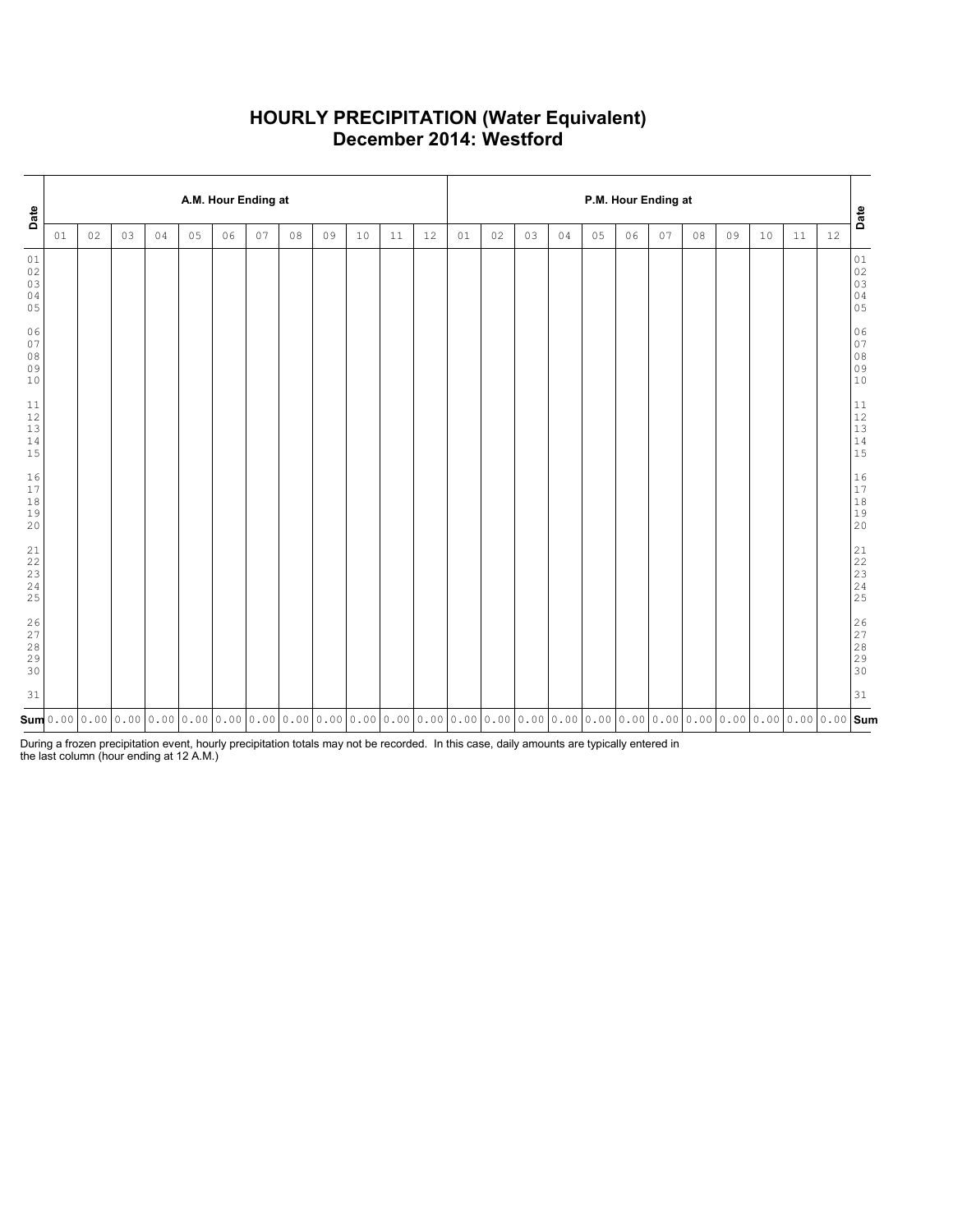### **HOURLY PRECIPITATION (Water Equivalent) December 2014: Westford**

| Date                                                      |    |    |    |    |    | A.M. Hour Ending at |    |                                                                                                                                                                                                                                                                                                                                        |    |    |    |    | P.M. Hour Ending at |    |    |    |    |    |    |    |    |    |        |    | Date                                                                                         |
|-----------------------------------------------------------|----|----|----|----|----|---------------------|----|----------------------------------------------------------------------------------------------------------------------------------------------------------------------------------------------------------------------------------------------------------------------------------------------------------------------------------------|----|----|----|----|---------------------|----|----|----|----|----|----|----|----|----|--------|----|----------------------------------------------------------------------------------------------|
|                                                           | 01 | 02 | 03 | 04 | 05 | 06                  | 07 | 08                                                                                                                                                                                                                                                                                                                                     | 09 | 10 | 11 | 12 | 01                  | 02 | 03 | 04 | 05 | 06 | 07 | 08 | 09 | 10 | $11\,$ | 12 |                                                                                              |
| 01<br>02<br>03<br>04<br>05                                |    |    |    |    |    |                     |    |                                                                                                                                                                                                                                                                                                                                        |    |    |    |    |                     |    |    |    |    |    |    |    |    |    |        |    | $01\,$<br>$\begin{array}{c} 02 \\ 03 \end{array}$<br>04<br>05                                |
| 06<br>07<br>08<br>09<br>10                                |    |    |    |    |    |                     |    |                                                                                                                                                                                                                                                                                                                                        |    |    |    |    |                     |    |    |    |    |    |    |    |    |    |        |    | 06<br>$\begin{array}{c} 07 \\ 08 \end{array}$<br>09<br>10                                    |
| $11\,$<br>$12\,$<br>$13$<br>14<br>15                      |    |    |    |    |    |                     |    |                                                                                                                                                                                                                                                                                                                                        |    |    |    |    |                     |    |    |    |    |    |    |    |    |    |        |    | $11\,$<br>$\begin{array}{c} 12 \\ 13 \end{array}$<br>$\begin{array}{c} 14 \\ 15 \end{array}$ |
| 16<br>17<br>$1\,8$<br>19<br>20                            |    |    |    |    |    |                     |    |                                                                                                                                                                                                                                                                                                                                        |    |    |    |    |                     |    |    |    |    |    |    |    |    |    |        |    | $16$<br>$17\,$<br>$\begin{array}{c} 18 \\ 19 \end{array}$<br>20                              |
| $\begin{array}{c} 21 \\ 22 \end{array}$<br>23<br>24<br>25 |    |    |    |    |    |                     |    |                                                                                                                                                                                                                                                                                                                                        |    |    |    |    |                     |    |    |    |    |    |    |    |    |    |        |    | 21<br>22<br>23<br>24<br>25                                                                   |
| 26<br>27<br>28<br>29<br>30                                |    |    |    |    |    |                     |    |                                                                                                                                                                                                                                                                                                                                        |    |    |    |    |                     |    |    |    |    |    |    |    |    |    |        |    | 26<br>27<br>28<br>29<br>30                                                                   |
| 31                                                        |    |    |    |    |    |                     |    |                                                                                                                                                                                                                                                                                                                                        |    |    |    |    |                     |    |    |    |    |    |    |    |    |    |        |    | 31                                                                                           |
|                                                           |    |    |    |    |    |                     |    | $\mathsf{sum}[\mathsf{0.00}]\mathsf{0.00}[\mathsf{0.00}]\mathsf{0.00}[\mathsf{0.00}]\mathsf{0.00}$ $\mathsf{0.00}]\mathsf{0.00}$ $\mathsf{0.00}]\mathsf{0.00}$ $\mathsf{0.00}]\mathsf{0.00}$ $\mathsf{0.00}]\mathsf{0.00}$ $\mathsf{0.00}]\mathsf{0.00}$ $\mathsf{0.00}]\mathsf{0.00}$ $\mathsf{0.00}]\mathsf{0.00}$ $\mathsf{0.00}]\$ |    |    |    |    |                     |    |    |    |    |    |    |    |    |    |        |    |                                                                                              |

During a frozen precipitation event, hourly precipitation totals may not be recorded. In this case, daily amounts are typically entered in the last column (hour ending at 12 A.M.)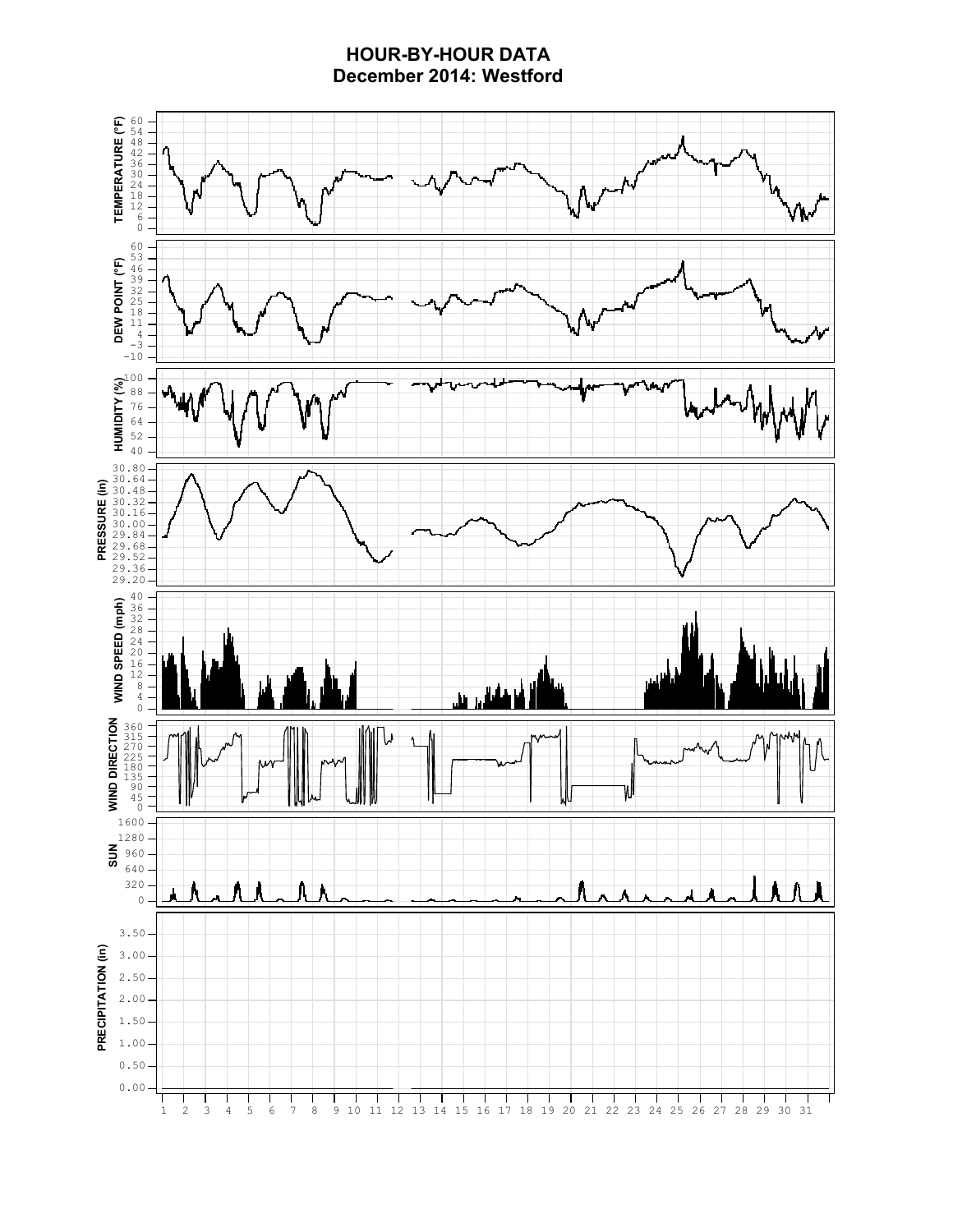## **HOUR-BY-HOUR DATA December 2014: Westford**